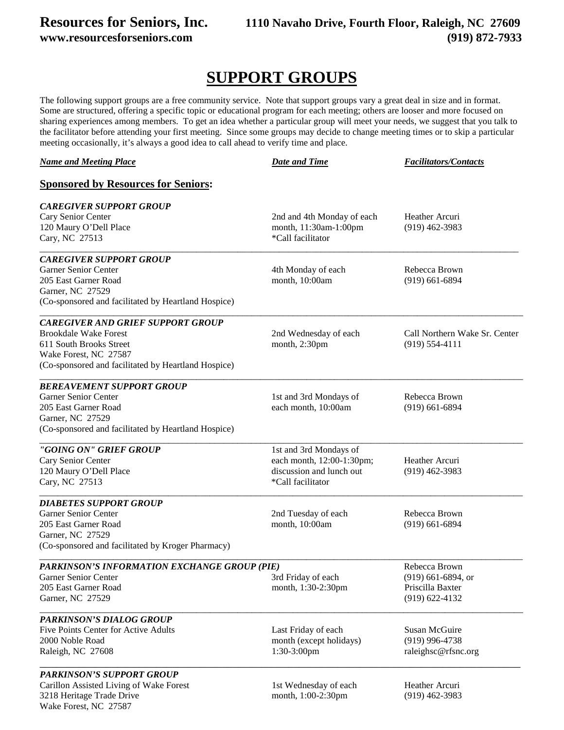## **Resources for Seniors, Inc. 1110 Navaho Drive, Fourth Floor, Raleigh, NC 27609 www.resourcesforseniors.com (919) 872-7933**

## **SUPPORT GROUPS**

The following support groups are a free community service. Note that support groups vary a great deal in size and in format. Some are structured, offering a specific topic or educational program for each meeting; others are looser and more focused on sharing experiences among members. To get an idea whether a particular group will meet your needs, we suggest that you talk to the facilitator before attending your first meeting. Since some groups may decide to change meeting times or to skip a particular meeting occasionally, it's always a good idea to call ahead to verify time and place.

| <b>Name and Meeting Place</b>                       | <b>Date and Time</b>       | <b>Facilitators/Contacts</b>  |
|-----------------------------------------------------|----------------------------|-------------------------------|
| <b>Sponsored by Resources for Seniors:</b>          |                            |                               |
| <b>CAREGIVER SUPPORT GROUP</b>                      |                            |                               |
| Cary Senior Center                                  | 2nd and 4th Monday of each | Heather Arcuri                |
| 120 Maury O'Dell Place                              | month, 11:30am-1:00pm      | $(919)$ 462-3983              |
| Cary, NC 27513                                      | *Call facilitator          |                               |
| <b>CAREGIVER SUPPORT GROUP</b>                      |                            |                               |
| <b>Garner Senior Center</b>                         | 4th Monday of each         | Rebecca Brown                 |
| 205 East Garner Road                                | month, 10:00am             | $(919)$ 661-6894              |
| Garner, NC 27529                                    |                            |                               |
| (Co-sponsored and facilitated by Heartland Hospice) |                            |                               |
| <b>CAREGIVER AND GRIEF SUPPORT GROUP</b>            |                            |                               |
| <b>Brookdale Wake Forest</b>                        | 2nd Wednesday of each      | Call Northern Wake Sr. Center |
| 611 South Brooks Street                             | month, 2:30pm              | $(919) 554 - 4111$            |
| Wake Forest, NC 27587                               |                            |                               |
| (Co-sponsored and facilitated by Heartland Hospice) |                            |                               |
| <b>BEREAVEMENT SUPPORT GROUP</b>                    |                            |                               |
| <b>Garner Senior Center</b>                         | 1st and 3rd Mondays of     | Rebecca Brown                 |
| 205 East Garner Road                                | each month, 10:00am        | $(919)$ 661-6894              |
| Garner, NC 27529                                    |                            |                               |
| (Co-sponsored and facilitated by Heartland Hospice) |                            |                               |
| "GOING ON" GRIEF GROUP                              | 1st and 3rd Mondays of     |                               |
| Cary Senior Center                                  | each month, 12:00-1:30pm;  | Heather Arcuri                |
| 120 Maury O'Dell Place                              | discussion and lunch out   | $(919)$ 462-3983              |
| Cary, NC 27513                                      | *Call facilitator          |                               |
| <b>DIABETES SUPPORT GROUP</b>                       |                            |                               |
| Garner Senior Center                                | 2nd Tuesday of each        | Rebecca Brown                 |
| 205 East Garner Road                                | month, 10:00am             | $(919)$ 661-6894              |
| Garner, NC 27529                                    |                            |                               |
| (Co-sponsored and facilitated by Kroger Pharmacy)   |                            |                               |
| PARKINSON'S INFORMATION EXCHANGE GROUP (PIE)        |                            | Rebecca Brown                 |
| Garner Senior Center                                | 3rd Friday of each         | $(919)$ 661-6894, or          |
| 205 East Garner Road                                | month, 1:30-2:30pm         | Priscilla Baxter              |
| Garner, NC 27529                                    |                            | $(919)$ 622-4132              |
| <b>PARKINSON'S DIALOG GROUP</b>                     |                            |                               |
| Five Points Center for Active Adults                | Last Friday of each        | Susan McGuire                 |
| 2000 Noble Road                                     | month (except holidays)    | $(919)$ 996-4738              |
| Raleigh, NC 27608                                   | 1:30-3:00pm                | raleighsc@rfsnc.org           |
| <b>PARKINSON'S SUPPORT GROUP</b>                    |                            |                               |
| Carillon Assisted Living of Wake Forest             | 1st Wednesday of each      | Heather Arcuri                |
| 3218 Heritage Trade Drive                           | month, 1:00-2:30pm         | $(919)$ 462-3983              |
| Wake Forest, NC 27587                               |                            |                               |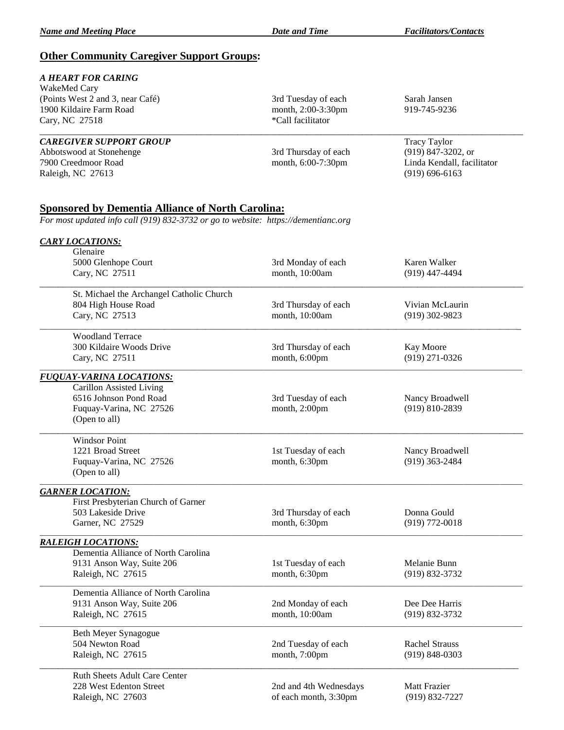### **Other Community Caregiver Support Groups:**

### *A HEART FOR CARING*

WakeMed Cary (Points West 2 and 3, near Café) 3rd Tuesday of each Sarah Jansen 1900 Kildaire Farm Road month, 2:00-3:30pm 919-745-9236<br>Cary, NC 27518 \*Call facilitator Cary, NC 27518

Abbotswood at Stonehenge 3rd Thursday of each (919) 3rd Thursday of each (919) 847-3205. Thursday of each (919) 847-3205. Original state and the month, 6:00-7:30pm 7900 Creedmoor Road month, 6:00-7:30pm Linda Kendall, facilitator Raleigh, NC 27613 (919) 696-6163

# \_\_\_\_\_\_\_\_\_\_\_\_\_\_\_\_\_\_\_\_\_\_\_\_\_\_\_\_\_\_\_\_\_\_\_\_\_\_\_\_\_\_\_\_\_\_\_\_\_\_\_\_\_\_\_\_\_\_\_\_\_\_\_\_\_\_\_\_\_\_\_\_\_\_\_\_\_\_\_\_\_\_\_\_\_\_\_\_\_\_\_\_\_\_\_\_\_\_\_\_\_\_\_\_\_

**CAREGIVER SUPPORT GROUP** Tracy Taylor<br>Abbotswood at Stonehenge 3rd Thursday of each (919) 847-3202, or

## **Sponsored by Dementia Alliance of North Carolina:**

*For most updated info call (919) 832-3732 or go to website: https://dementianc.org*

| <b>CARY LOCATIONS:</b>                    |                        |                       |
|-------------------------------------------|------------------------|-----------------------|
| Glenaire                                  |                        |                       |
| 5000 Glenhope Court                       | 3rd Monday of each     | Karen Walker          |
| Cary, NC 27511                            | month, 10:00am         | $(919)$ 447-4494      |
| St. Michael the Archangel Catholic Church |                        |                       |
| 804 High House Road                       | 3rd Thursday of each   | Vivian McLaurin       |
| Cary, NC 27513                            | month, 10:00am         | (919) 302-9823        |
| <b>Woodland Terrace</b>                   |                        |                       |
| 300 Kildaire Woods Drive                  | 3rd Thursday of each   | Kay Moore             |
| Cary, NC 27511                            | month, 6:00pm          | (919) 271-0326        |
| <b>FUQUAY-VARINA LOCATIONS:</b>           |                        |                       |
| Carillon Assisted Living                  |                        |                       |
| 6516 Johnson Pond Road                    | 3rd Tuesday of each    | Nancy Broadwell       |
| Fuquay-Varina, NC 27526                   | month, 2:00pm          | (919) 810-2839        |
| (Open to all)                             |                        |                       |
| <b>Windsor Point</b>                      |                        |                       |
| 1221 Broad Street                         | 1st Tuesday of each    | Nancy Broadwell       |
| Fuquay-Varina, NC 27526                   | month, 6:30pm          | $(919)$ 363-2484      |
| (Open to all)                             |                        |                       |
| <b>GARNER LOCATION:</b>                   |                        |                       |
| First Presbyterian Church of Garner       |                        |                       |
| 503 Lakeside Drive                        | 3rd Thursday of each   | Donna Gould           |
| Garner, NC 27529                          | month, 6:30pm          | $(919) 772 - 0018$    |
| <b>RALEIGH LOCATIONS:</b>                 |                        |                       |
| Dementia Alliance of North Carolina       |                        |                       |
| 9131 Anson Way, Suite 206                 | 1st Tuesday of each    | Melanie Bunn          |
| Raleigh, NC 27615                         | month, 6:30pm          | (919) 832-3732        |
| Dementia Alliance of North Carolina       |                        |                       |
| 9131 Anson Way, Suite 206                 | 2nd Monday of each     | Dee Dee Harris        |
| Raleigh, NC 27615                         | month, 10:00am         | (919) 832-3732        |
| Beth Meyer Synagogue                      |                        |                       |
| 504 Newton Road                           | 2nd Tuesday of each    | <b>Rachel Strauss</b> |
| Raleigh, NC 27615                         | month, 7:00pm          | $(919) 848 - 0303$    |
| <b>Ruth Sheets Adult Care Center</b>      |                        |                       |
| 228 West Edenton Street                   | 2nd and 4th Wednesdays | Matt Frazier          |
| Raleigh, NC 27603                         | of each month, 3:30pm  | (919) 832-7227        |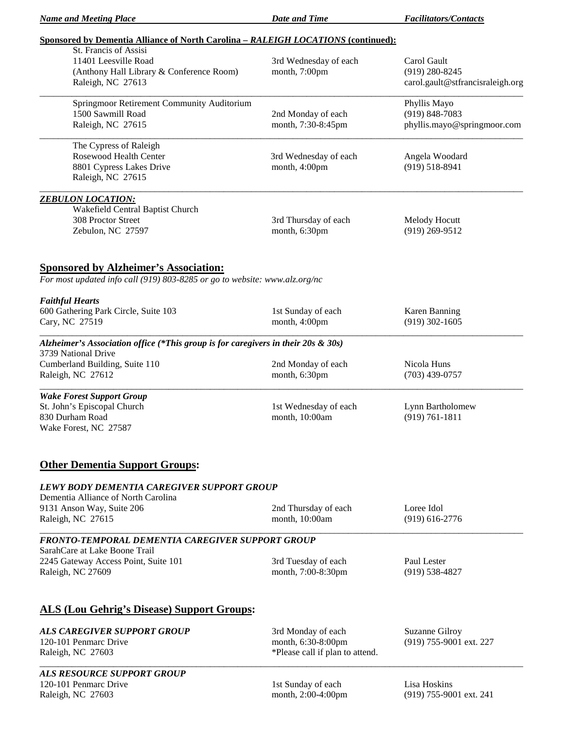*Name and Meeting Place Date and Time Facilitators/Contacts*

| Sponsored by Dementia Alliance of North Carolina – RALEIGH LOCATIONS (continued): |
|-----------------------------------------------------------------------------------|
|-----------------------------------------------------------------------------------|

| <u> Sponsorea by Dementia Amance of Ivorui Carolina – RALLIOII LOCATTONS (continueu).</u><br>St. Francis of Assisi         |                                                       |                                                                     |
|----------------------------------------------------------------------------------------------------------------------------|-------------------------------------------------------|---------------------------------------------------------------------|
| 11401 Leesville Road<br>(Anthony Hall Library & Conference Room)<br>Raleigh, NC 27613                                      | 3rd Wednesday of each<br>month, 7:00pm                | Carol Gault<br>$(919)$ 280-8245<br>carol.gault@stfrancisraleigh.org |
|                                                                                                                            |                                                       |                                                                     |
| Springmoor Retirement Community Auditorium<br>1500 Sawmill Road                                                            | 2nd Monday of each                                    | Phyllis Mayo<br>$(919) 848 - 7083$                                  |
| Raleigh, NC 27615                                                                                                          | month, 7:30-8:45pm                                    | phyllis.mayo@springmoor.com                                         |
| The Cypress of Raleigh                                                                                                     |                                                       |                                                                     |
| Rosewood Health Center<br>8801 Cypress Lakes Drive<br>Raleigh, NC 27615                                                    | 3rd Wednesday of each<br>month, 4:00pm                | Angela Woodard<br>$(919) 518 - 8941$                                |
| <b>ZEBULON LOCATION:</b>                                                                                                   |                                                       |                                                                     |
| Wakefield Central Baptist Church                                                                                           |                                                       |                                                                     |
| 308 Proctor Street<br>Zebulon, NC 27597                                                                                    | 3rd Thursday of each<br>month, 6:30pm                 | Melody Hocutt<br>$(919)$ 269-9512                                   |
| <b>Sponsored by Alzheimer's Association:</b><br>For most updated info call (919) 803-8285 or go to website: www.alz.org/nc |                                                       |                                                                     |
| <b>Faithful Hearts</b>                                                                                                     |                                                       |                                                                     |
| 600 Gathering Park Circle, Suite 103<br>Cary, NC 27519                                                                     | 1st Sunday of each<br>month, 4:00pm                   | Karen Banning<br>$(919)$ 302-1605                                   |
| Alzheimer's Association office (*This group is for caregivers in their 20s & 30s)<br>3739 National Drive                   |                                                       |                                                                     |
| Cumberland Building, Suite 110<br>Raleigh, NC 27612                                                                        | 2nd Monday of each<br>month, 6:30pm                   | Nicola Huns<br>$(703)$ 439-0757                                     |
| <b>Wake Forest Support Group</b><br>St. John's Episcopal Church<br>830 Durham Road<br>Wake Forest, NC 27587                | 1st Wednesday of each<br>month, 10:00am               | Lynn Bartholomew<br>$(919) 761 - 1811$                              |
| <b>Other Dementia Support Groups:</b>                                                                                      |                                                       |                                                                     |
| LEWY BODY DEMENTIA CAREGIVER SUPPORT GROUP<br>Dementia Alliance of North Carolina                                          |                                                       |                                                                     |
| 9131 Anson Way, Suite 206                                                                                                  | 2nd Thursday of each                                  | Loree Idol                                                          |
| Raleigh, NC 27615                                                                                                          | month, 10:00am                                        | $(919)$ 616-2776                                                    |
| FRONTO-TEMPORAL DEMENTIA CAREGIVER SUPPORT GROUP                                                                           |                                                       |                                                                     |
| SarahCare at Lake Boone Trail<br>2245 Gateway Access Point, Suite 101                                                      | 3rd Tuesday of each                                   | Paul Lester                                                         |
| Raleigh, NC 27609                                                                                                          | month, 7:00-8:30pm                                    | $(919) 538 - 4827$                                                  |
| <b>ALS (Lou Gehrig's Disease) Support Groups:</b>                                                                          |                                                       |                                                                     |
| <b>ALS CAREGIVER SUPPORT GROUP</b>                                                                                         | 3rd Monday of each                                    | Suzanne Gilroy                                                      |
| 120-101 Penmarc Drive<br>Raleigh, NC 27603                                                                                 | month, 6:30-8:00pm<br>*Please call if plan to attend. | (919) 755-9001 ext. 227                                             |
| ALS RESOURCE SUPPORT GROUP                                                                                                 |                                                       |                                                                     |
| 120-101 Penmarc Drive<br>Raleigh, NC 27603                                                                                 | 1st Sunday of each<br>month, 2:00-4:00pm              | Lisa Hoskins<br>(919) 755-9001 ext. 241                             |